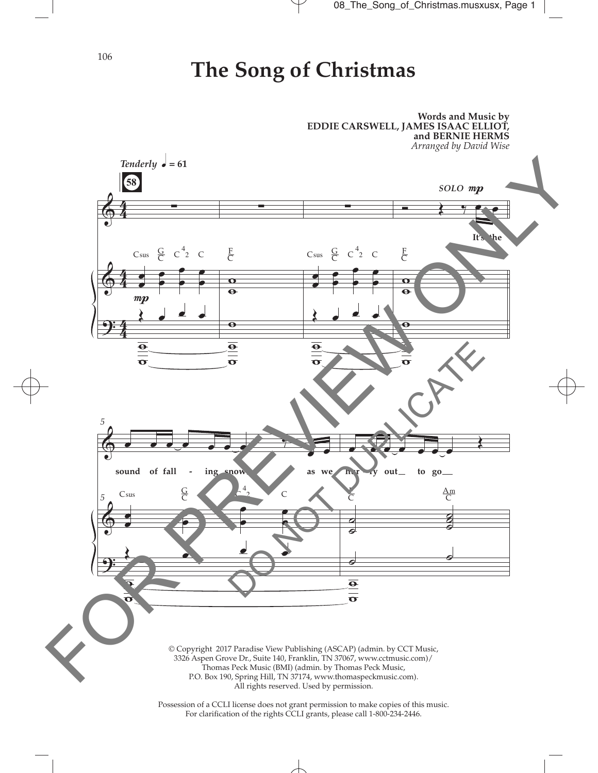106

## **The Song of Christmas**



Possession of a CCLI license does not grant permission to make copies of this music. For clarifcation of the rights CCLI grants, please call 1-800-234-2446.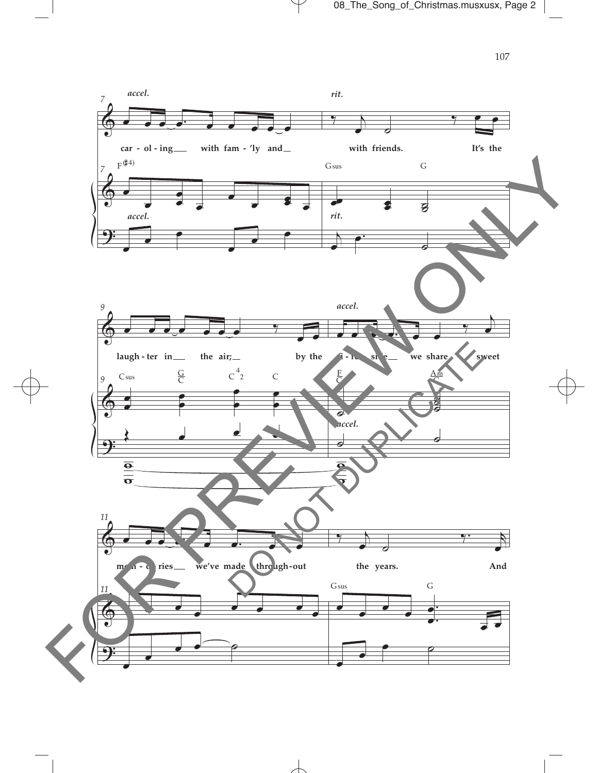

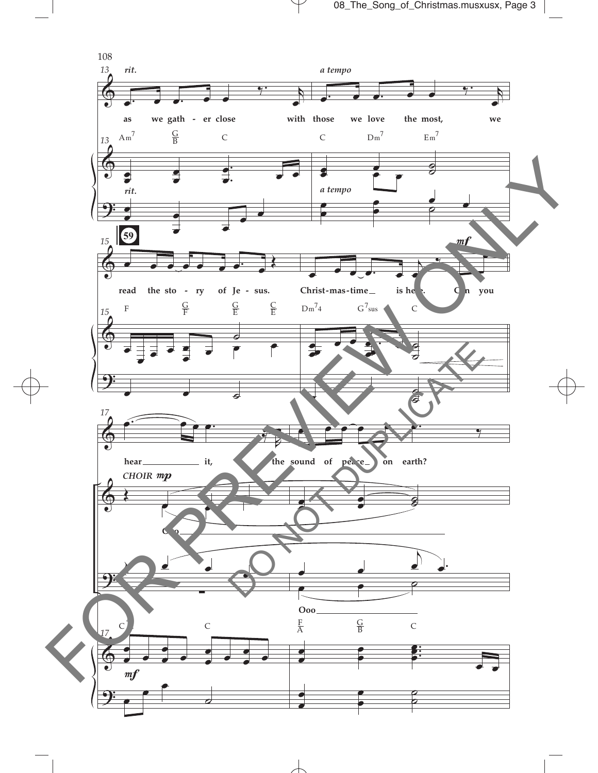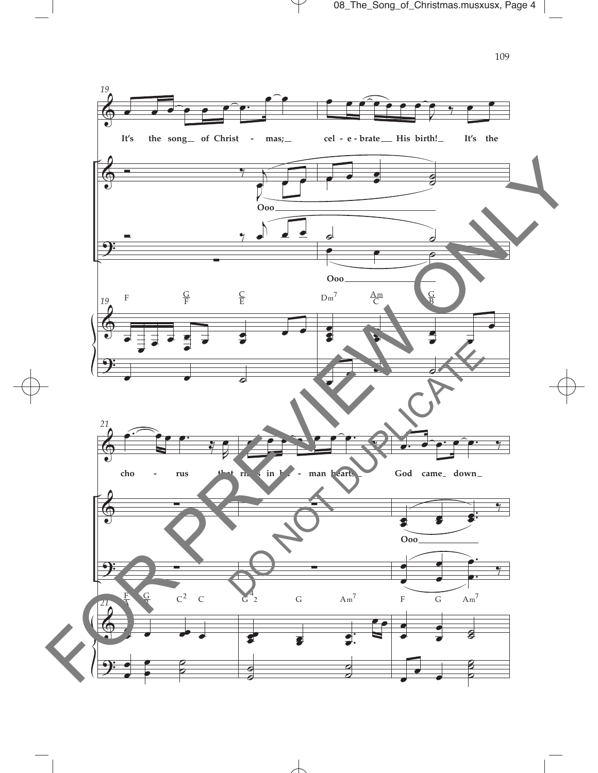08\_The\_Song\_of\_Christmas.musxusx, Page 4





 $\overline{\mathcal{A}}$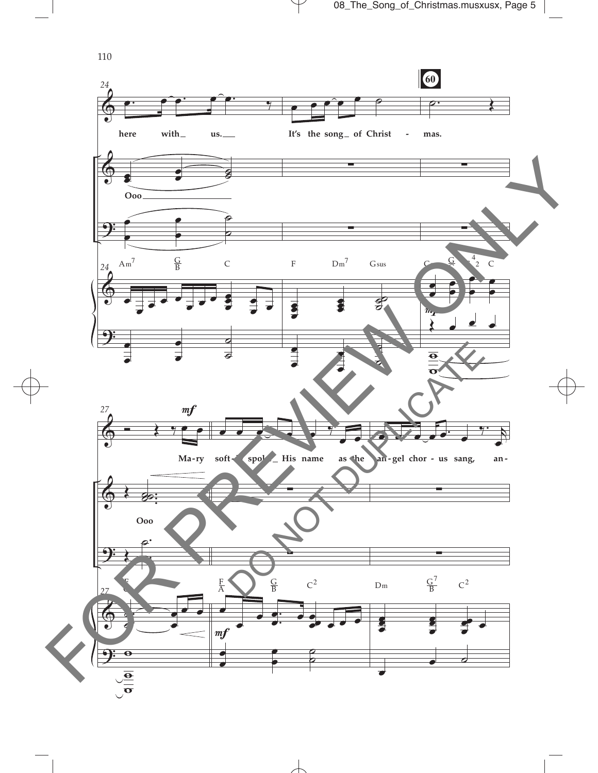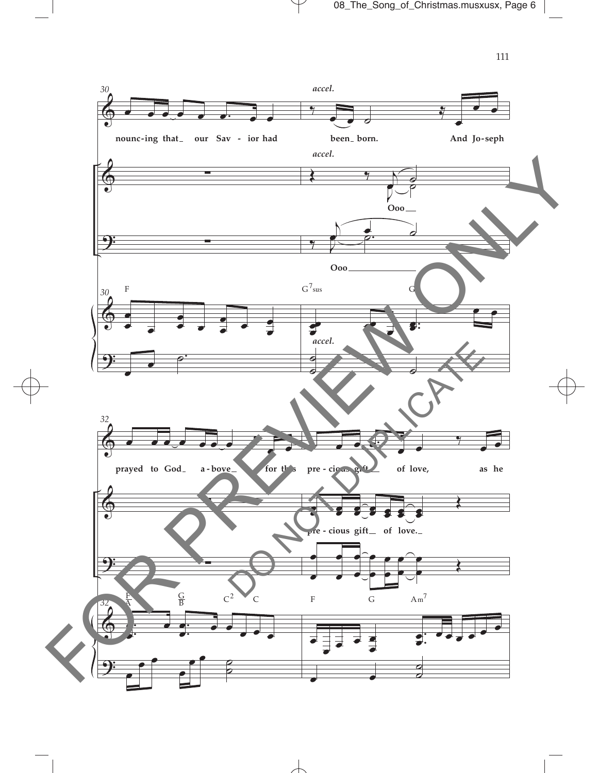$111\,$ 

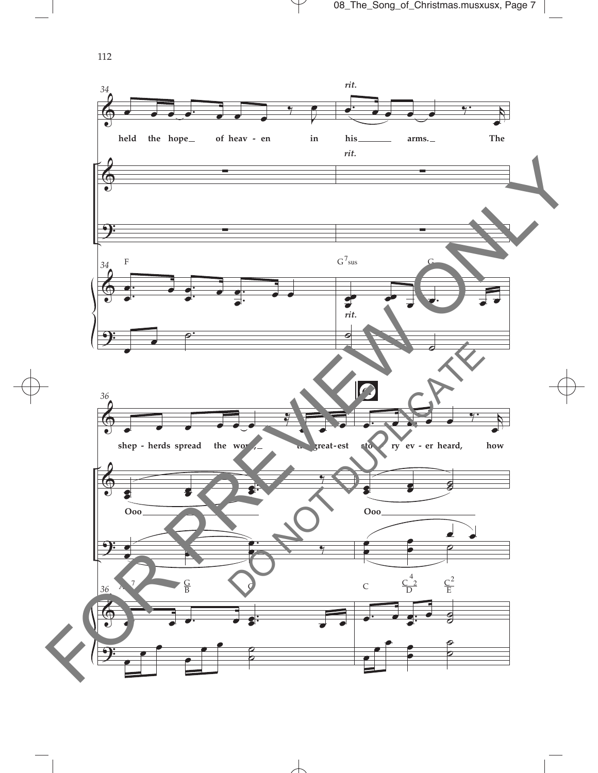112

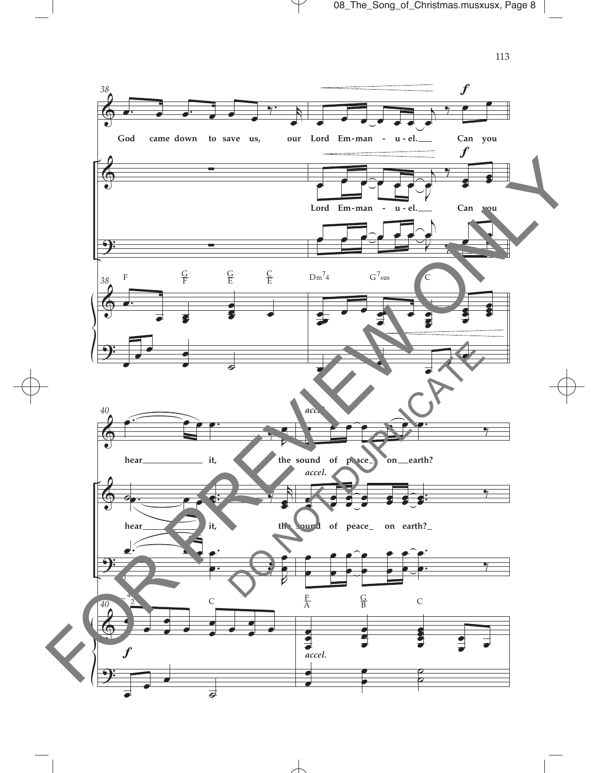

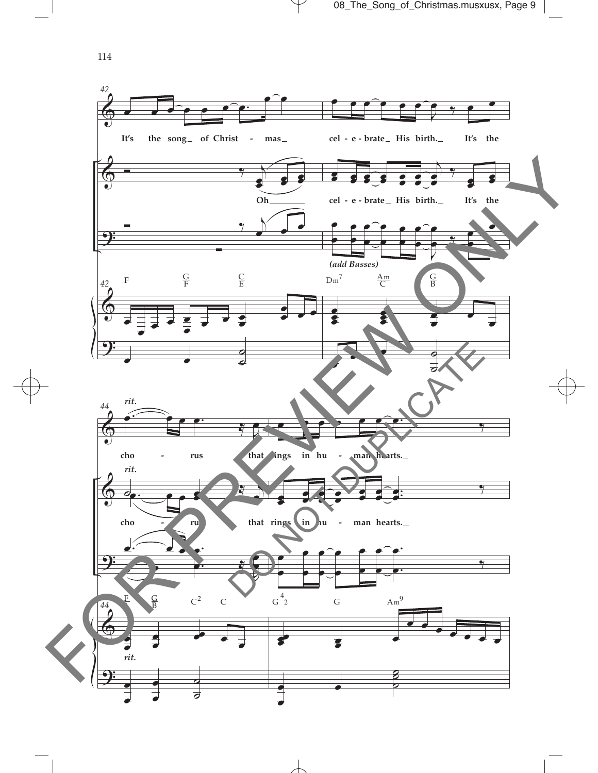$\pmb{\Phi}$  $\theta$ <u>.</u>  $\pmb{\Phi}$ <u>.</u> *42*  $\overline{\mathcal{C}^{\bullet}$ It's the song of Christ **-** mas cel - e - $\bullet$ œ œ œ œ œ œ **Oh**  $\overline{z}$  ,  $\overline{z}$  $\sum_{i=1}^n$ ∑ *42* œ œ  $\frac{1}{\epsilon}$   $\frac{1}{\epsilon}$ œ  $\overline{\phantom{a}}$ . œ œ  $\cdot$   $\cdot$  $\overline{\cdot}$  $\bullet$ ˙ F  $\frac{G}{F}$ C E <sup>œ</sup> <sup>œ</sup> <sup>œ</sup> <sup>œ</sup> <sup>œ</sup> <sup>œ</sup> <sup>J</sup>  $9 - 9$ **cel e brate His birth. It's the** œ œ œ 8 E  $\overline{\mathbf{e}}$  $\bullet$ œ œ œ j œ œ  $\overline{y}$ œ œ œ œ **cel e brate His birth. It's the -**  œ œ œ œ œ œ œ œ œ œ œ  $\Rightarrow$ œ œ ‰ œ œ œ œ œ e<br>S œ œ œ œ œ œ œ œ œ œ œ ˙ ˙  $Dm^7$  $\frac{\text{Am}}{\text{C}}$ G B *(add Basses)*  $\pmb{\Phi}$  $\bm{\phi}$ <u>9:</u>  $\bm{\phi}$ <u>9:</u> *44*  $\epsilon$ œ **cho rus that rings in hu man hearts.**  $\circ$  .  $\bullet$  .  $\frac{1}{2}$ œ œ **cho** *ru* **ru that rings in hu** *r* **man hearts.**  $\overline{\phantom{a}}$  $\overline{e}$ . . œ  $\frac{1}{2}$ œ  $\overrightarrow{a}$ *44* P<br>A œ œ *rit.*  œ œ œœ œ œ œ œ œ œ  $\overline{\phantom{0}}$  $\overline{\boldsymbol{\sigma}}$ F A  $\subseteq$  $C^2$  C *rit. rit.*  œ œ œ œ œ œ œ. ‰ œ œ œ œ œ œ œ œ œ œ œ **e .**<br>. œ ‰ œ œ œ œ œ œ œ œ œ œ œ œ . . œ œ ‰ œœ  $\mathbf{e}$ œ œ  $\overrightarrow{e}$ œ œ œ  $\mathbf{z}$  $\overline{\circ}$  $G^4$ G  $Am^9$ **- - -** 114 FOR PREVIEW ONLY DO NOT DUPLICATE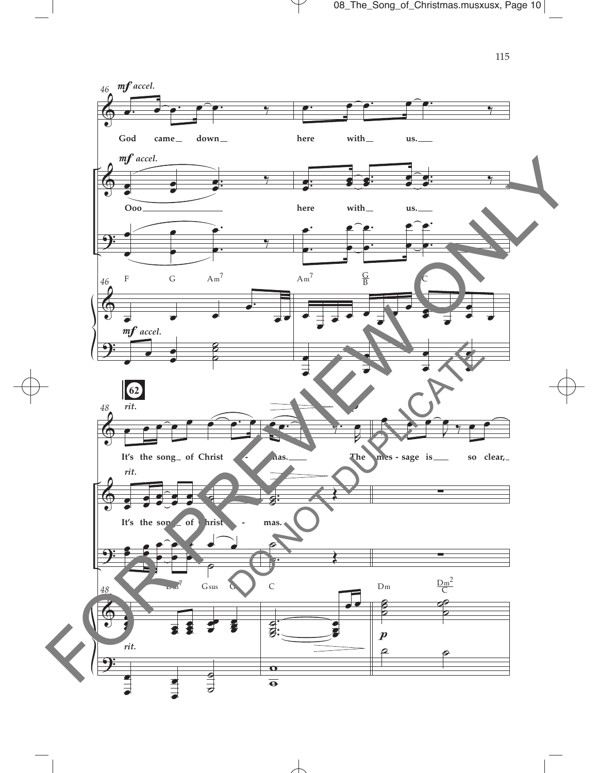

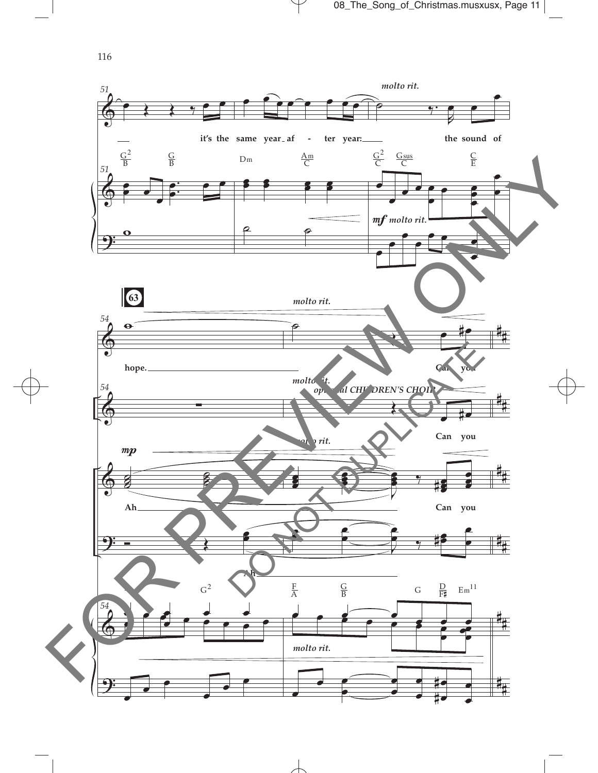

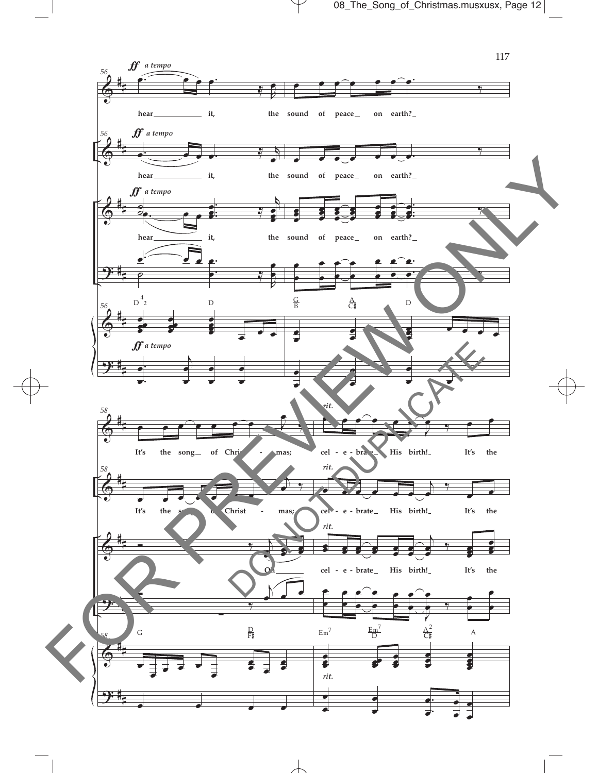08\_The\_Song\_of\_Christmas.musxusx, Page 12

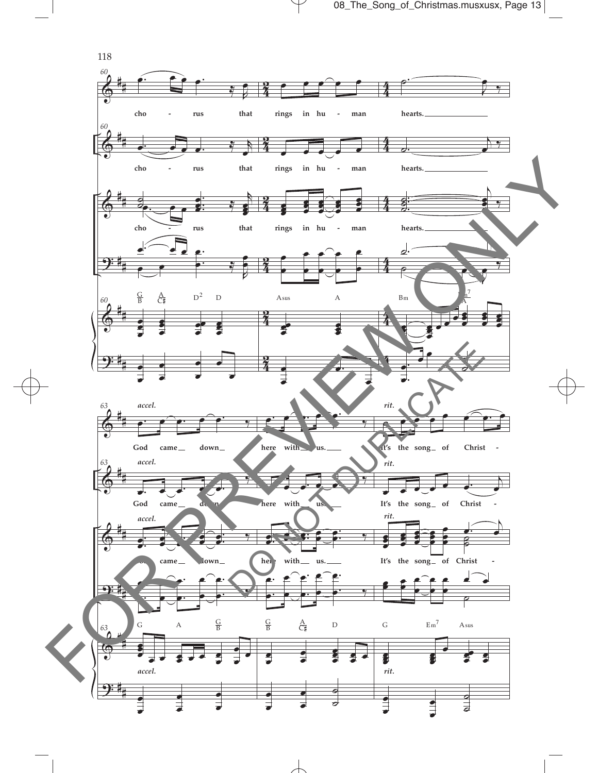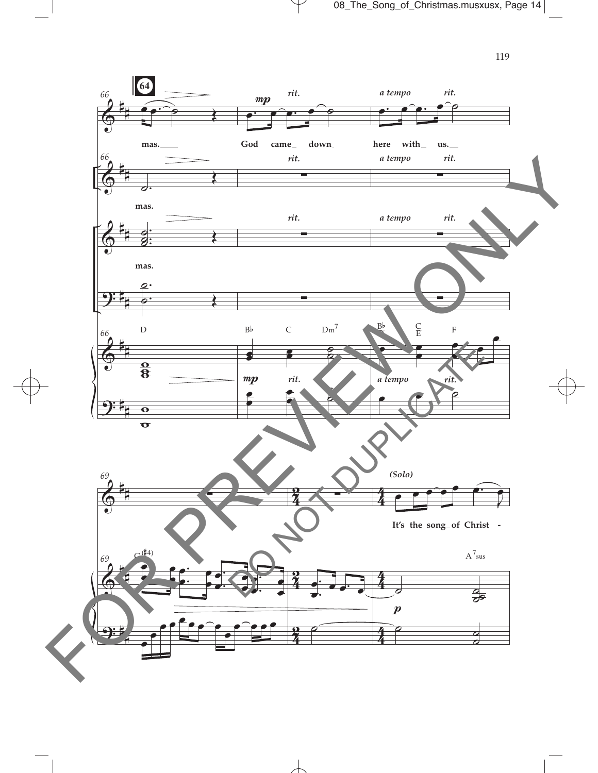